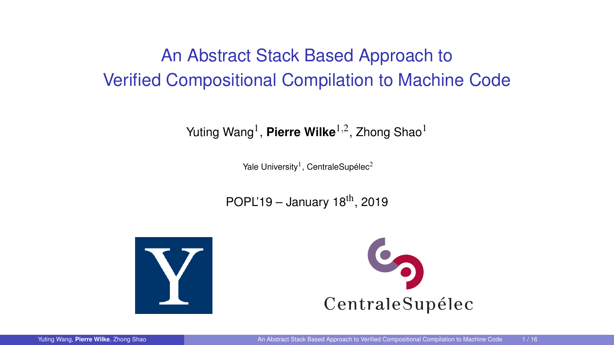# <span id="page-0-0"></span>An Abstract Stack Based Approach to Verified Compositional Compilation to Machine Code

Yuting Wang<sup>1</sup>, Pierre Wilke<sup>1,2</sup>, Zhong Shao<sup>1</sup>

Yale University<sup>1</sup>, CentraleSupélec<sup>2</sup>

POPL'19 – January 18<sup>th</sup>, 2019



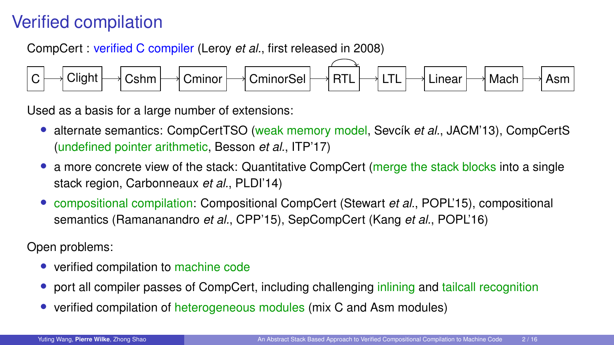## Verified compilation

CompCert : verified C compiler (Leroy *et al.*, first released in 2008)



Used as a basis for a large number of extensions:

- alternate semantics: CompCertTSO (weak memory model, Sevcík *et al.*, JACM'13), CompCertS (undefined pointer arithmetic, Besson *et al.*, ITP'17)
- a more concrete view of the stack: Quantitative CompCert (merge the stack blocks into a single stack region, Carbonneaux *et al.*, PLDI'14)
- compositional compilation: Compositional CompCert (Stewart *et al.*, POPL'15), compositional semantics (Ramananandro *et al.*, CPP'15), SepCompCert (Kang *et al.*, POPL'16)

Open problems:

- verified compilation to machine code
- port all compiler passes of CompCert, including challenging inlining and tailcall recognition
- verified compilation of heterogeneous modules (mix C and Asm modules)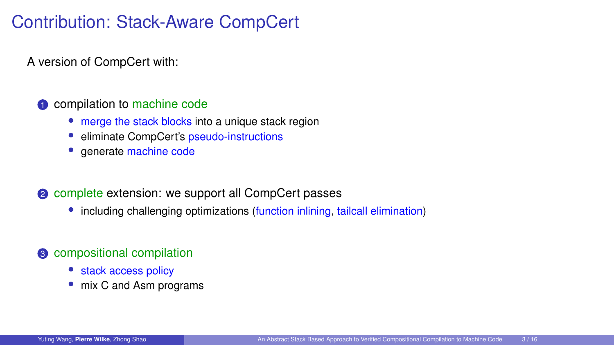### Contribution: Stack-Aware CompCert

A version of CompCert with:

#### **1** compilation to machine code

- merge the stack blocks into a unique stack region
- eliminate CompCert's pseudo-instructions
- generate machine code

#### 2 complete extension: we support all CompCert passes

including challenging optimizations (function inlining, tailcall elimination)

#### <sup>3</sup> compositional compilation

- stack access policy
- mix C and Asm programs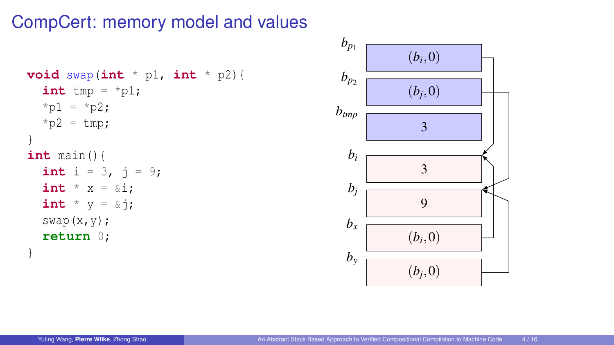# CompCert: memory model and values

```
void swap(int * p1, int * p2){
  int tmp = *p1;
  *p1 = *p2;*p2 = tmp;}
int main(){
  int i = 3, j = 9;
  int * x = \&i;int * y = \& j;swap(x,y);
  return 0;
}
```
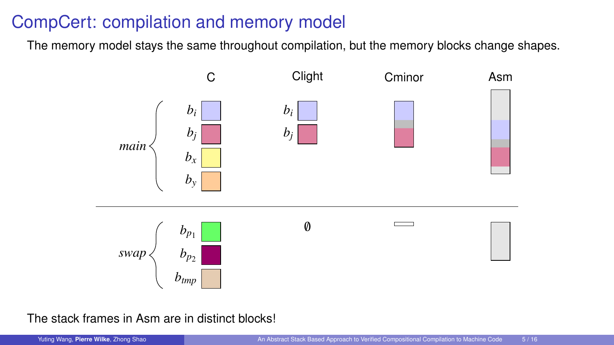## CompCert: compilation and memory model

The memory model stays the same throughout compilation, but the memory blocks change shapes.



The stack frames in Asm are in distinct blocks!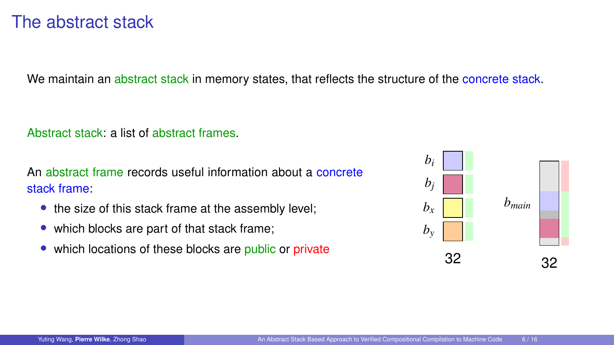#### The abstract stack

We maintain an abstract stack in memory states, that reflects the structure of the concrete stack.

Abstract stack: a list of abstract frames.

An abstract frame records useful information about a concrete stack frame:

- the size of this stack frame at the assembly level;
- which blocks are part of that stack frame;
- which locations of these blocks are public or private

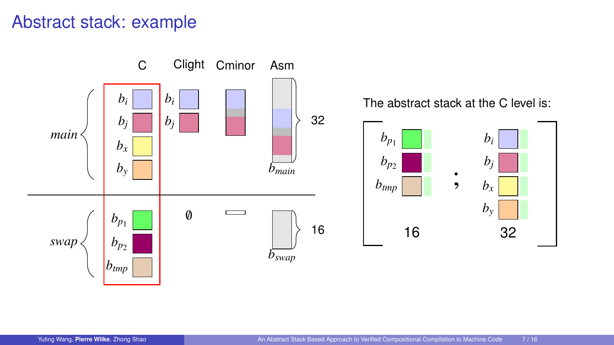#### Abstract stack: example

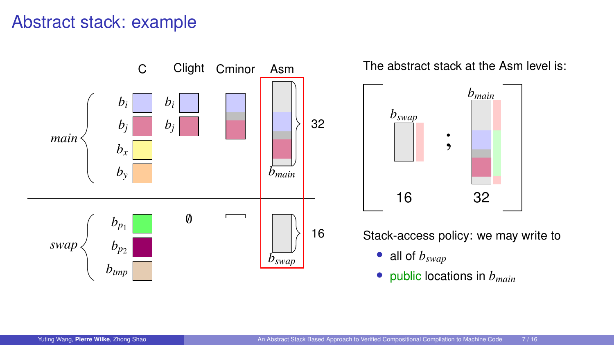#### Abstract stack: example

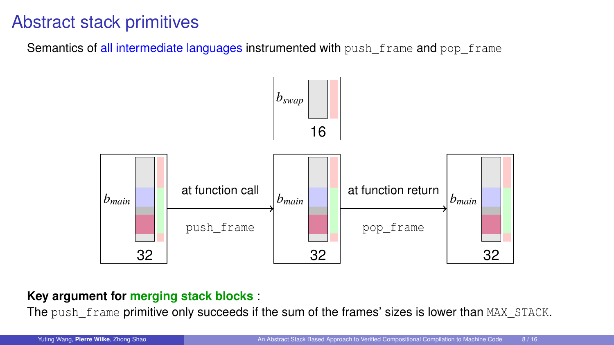### Abstract stack primitives

Semantics of all intermediate languages instrumented with push frame and pop frame



#### **Key argument for merging stack blocks** :

The push\_frame primitive only succeeds if the sum of the frames' sizes is lower than MAX\_STACK.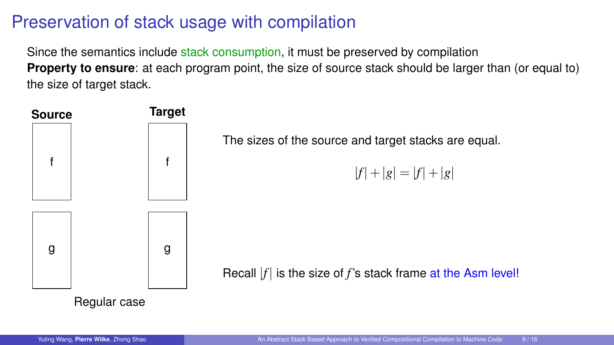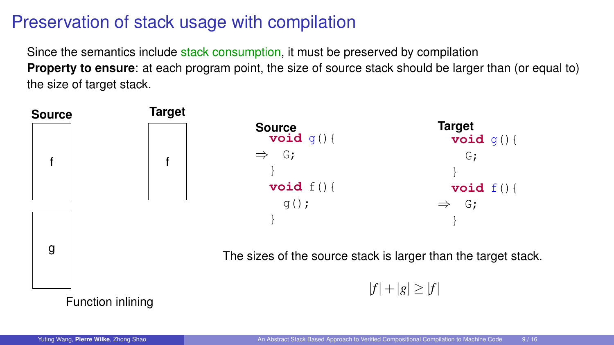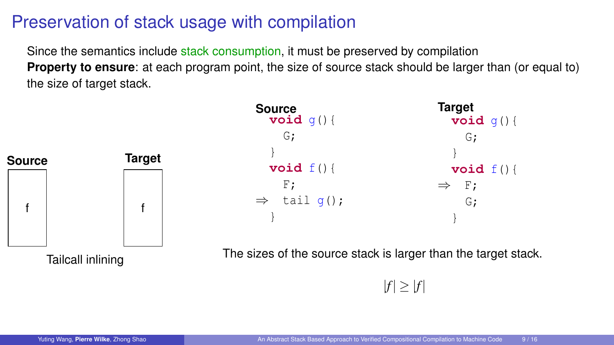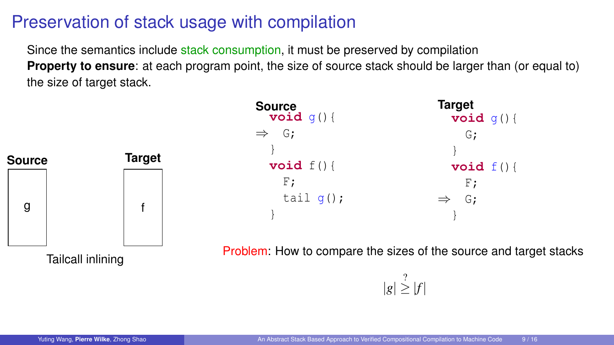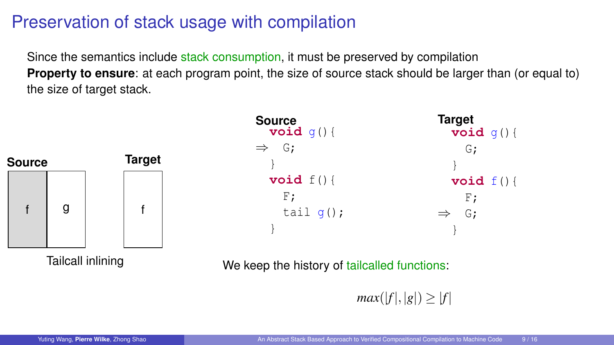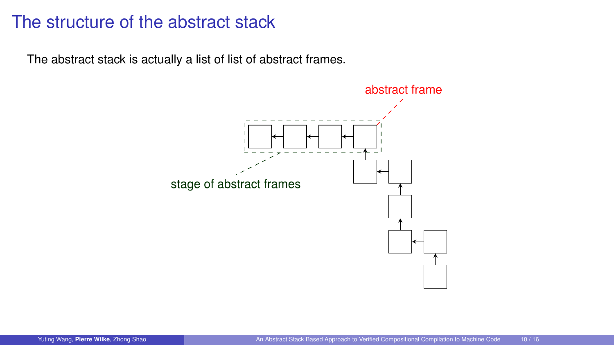#### The structure of the abstract stack

The abstract stack is actually a list of list of abstract frames.

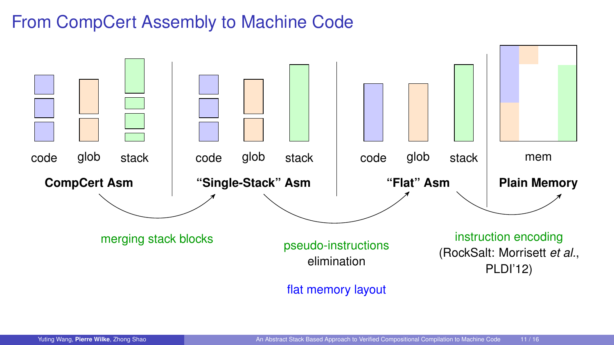## From CompCert Assembly to Machine Code

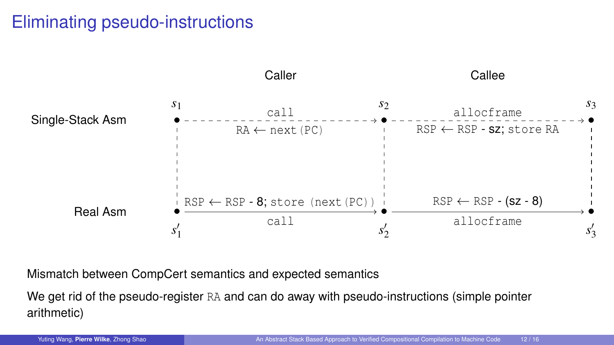# Eliminating pseudo-instructions



Mismatch between CompCert semantics and expected semantics

We get rid of the pseudo-register RA and can do away with pseudo-instructions (simple pointer arithmetic)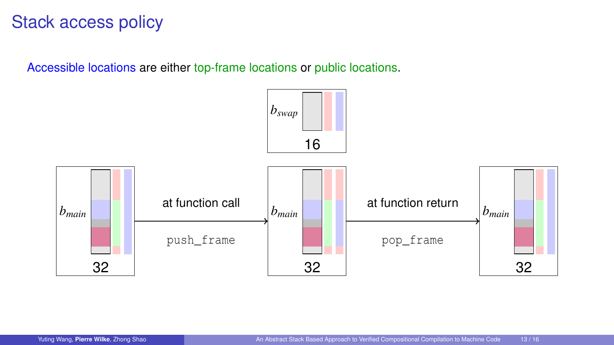#### Stack access policy

Accessible locations are either top-frame locations or public locations.

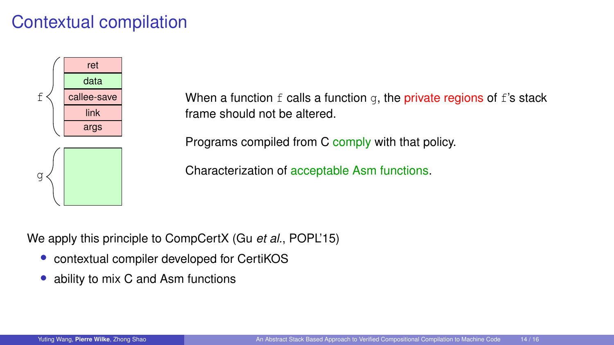### Contextual compilation



When a function  $f$  calls a function  $g$ , the private regions of  $f$ 's stack frame should not be altered.

Programs compiled from C comply with that policy.

Characterization of acceptable Asm functions.

We apply this principle to CompCertX (Gu *et al.*, POPL'15)

- contextual compiler developed for CertiKOS
- ability to mix C and Asm functions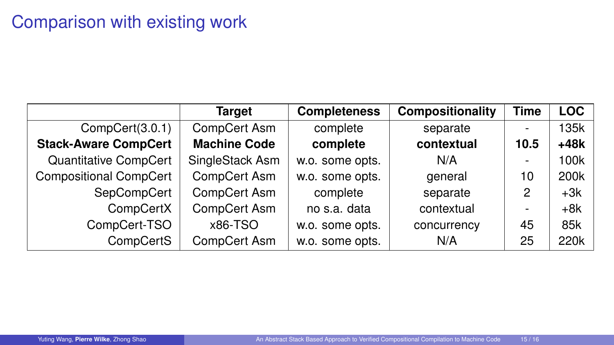### Comparison with existing work

|                               | <b>Target</b>       | <b>Completeness</b> | Compositionality | <b>Time</b> | <b>LOC</b> |
|-------------------------------|---------------------|---------------------|------------------|-------------|------------|
| CompCert(3.0.1)               | CompCert Asm        | complete            | separate         |             | 135k       |
| <b>Stack-Aware CompCert</b>   | <b>Machine Code</b> | complete            | contextual       | 10.5        | +48k       |
| Quantitative CompCert         | SingleStack Asm     | w.o. some opts.     | N/A              |             | 100k       |
| <b>Compositional CompCert</b> | CompCert Asm        | w.o. some opts.     | general          | 10          | 200k       |
| SepCompCert                   | CompCert Asm        | complete            | separate         | 2           | $+3k$      |
| CompCertX                     | CompCert Asm        | no s.a. data        | contextual       |             | $+8k$      |
| CompCert-TSO                  | x86-TSO             | w.o. some opts.     | concurrency      | 45          | 85k        |
| CompCertS                     | CompCert Asm        | w.o. some opts.     | N/A              | 25          | 220k       |